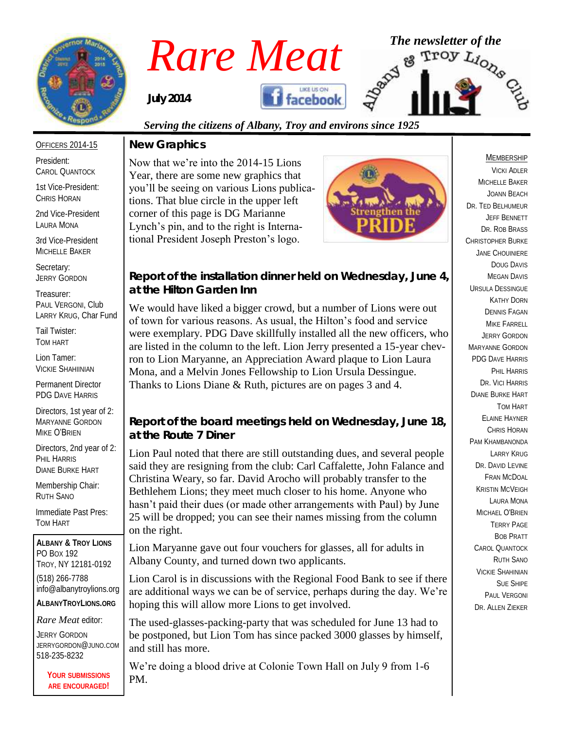

*Rare Meat* The newsletter of the **Rare Meat** of the service of the service of the service of the service of the service of  $\mathbb{R}^{\infty}$ facebook *July 2014* 

OFFICERS 2014-15

President: CAROL QUANTOCK

1st Vice-President: CHRIS HORAN

2nd Vice-President LAURA MONA

3rd Vice-President MICHELLE BAKER

Secretary: JERRY GORDON

Treasurer: PAUL VERGONI, Club LARRY KRUG, Char Fund

Tail Twister: TOM HART

Lion Tamer: VICKIE SHAHIINIAN

Permanent Director PDG DAVE HARRIS

Directors, 1st year of 2: MARYANNE GORDON MIKE O'BRIEN

Directors, 2nd year of 2: PHIL HARRIS DIANE BURKE HART

Membership Chair: RUTH SANO

Immediate Past Pres: TOM HART

**ALBANY & TROY LIONS** PO BOX 192 TROY, NY 12181-0192 (518) 266-7788 info@albanytroylions.org **ALBANYTROYLIONS.ORG**

*Rare Meat* editor:

JERRY GORDON JERRYGORDON@JUNO.COM 518-235-8232

> **YOUR SUBMISSIONS ARE ENCOURAGED!**

### *Serving the citizens of Albany, Troy and environs since 1925*

#### *New Graphics*

Now that we're into the 2014-15 Lions Year, there are some new graphics that you'll be seeing on various Lions publications. That blue circle in the upper left corner of this page is DG Marianne Lynch's pin, and to the right is International President Joseph Preston's logo.



*Report of the installation dinner held on Wednesday, June 4, at the Hilton Garden Inn* 

We would have liked a bigger crowd, but a number of Lions were out of town for various reasons. As usual, the Hilton's food and service were exemplary. PDG Dave skillfully installed all the new officers, who are listed in the column to the left. Lion Jerry presented a 15-year chevron to Lion Maryanne, an Appreciation Award plaque to Lion Laura Mona, and a Melvin Jones Fellowship to Lion Ursula Dessingue. Thanks to Lions Diane & Ruth, pictures are on pages 3 and 4.

#### *Report of the board meetings held on Wednesday, June 18, at the Route 7 Diner*

Lion Paul noted that there are still outstanding dues, and several people said they are resigning from the club: Carl Caffalette, John Falance and Christina Weary, so far. David Arocho will probably transfer to the Bethlehem Lions; they meet much closer to his home. Anyone who hasn't paid their dues (or made other arrangements with Paul) by June 25 will be dropped; you can see their names missing from the column on the right.

Lion Maryanne gave out four vouchers for glasses, all for adults in Albany County, and turned down two applicants.

Lion Carol is in discussions with the Regional Food Bank to see if there are additional ways we can be of service, perhaps during the day. We're hoping this will allow more Lions to get involved.

The used-glasses-packing-party that was scheduled for June 13 had to be postponed, but Lion Tom has since packed 3000 glasses by himself, and still has more.

We're doing a blood drive at Colonie Town Hall on July 9 from 1-6 PM.

#### DR. TED BELHUMEUR JEFF BENNETT DR. ROB BRASS CHRISTOPHER BURKE JANE CHOUINIERE DOUG DAVIS MEGAN DAVIS URSULA DESSINGUE KATHY DORN DENNIS FAGAN MIKE FARRELL JERRY GORDON MARYANNE GORDON PDG DAVE HARRIS PHIL HARRIS DR. VICI HARRIS DIANE BURKE HART TOM HART ELAINE HAYNER CHRIS HORAN PAM KHAMBANONDA LARRY KRUG DR. DAVID LEVINE FRAN MCDOAL KRISTIN MCVEIGH LAURA MONA MICHAEL O'BRIEN TERRY PAGE BOB PRATT CAROL QUANTOCK RUTH SANO VICKIE SHAHINIAN SUE SHIPE PAUL VERGONI DR. ALLEN ZIEKER

MEMBERSHIP VICKI ADLER MICHELLE BAKER JOANN BEACH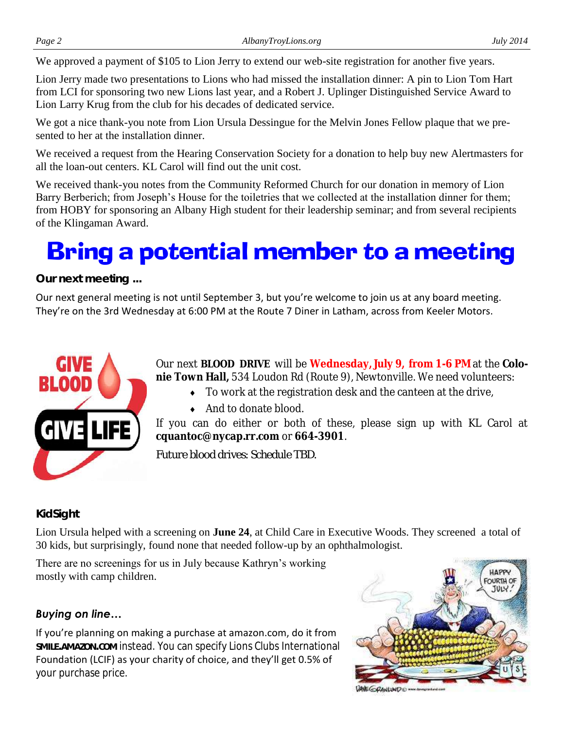We approved a payment of \$105 to Lion Jerry to extend our web-site registration for another five years.

Lion Jerry made two presentations to Lions who had missed the installation dinner: A pin to Lion Tom Hart from LCI for sponsoring two new Lions last year, and a Robert J. Uplinger Distinguished Service Award to Lion Larry Krug from the club for his decades of dedicated service.

We got a nice thank-you note from Lion Ursula Dessingue for the Melvin Jones Fellow plaque that we presented to her at the installation dinner.

We received a request from the Hearing Conservation Society for a donation to help buy new Alertmasters for all the loan-out centers. KL Carol will find out the unit cost.

We received thank-you notes from the Community Reformed Church for our donation in memory of Lion Barry Berberich; from Joseph's House for the toiletries that we collected at the installation dinner for them; from HOBY for sponsoring an Albany High student for their leadership seminar; and from several recipients of the Klingaman Award.

# **Bring a potential member to a meeting**

*Our next meeting ...*

Our next general meeting is not until September 3, but you're welcome to join us at any board meeting. They're on the 3rd Wednesday at 6:00 PM at the Route 7 Diner in Latham, across from Keeler Motors.



Our next **BLOOD DRIVE** will be **Wednesday, July 9, from 1-6 PM** at the **Colonie Town Hall,** 534 Loudon Rd (Route 9), Newtonville. We need volunteers:

- To work at the registration desk and the canteen at the drive,
- And to donate blood.

If you can do either or both of these, please sign up with KL Carol at **cquantoc@nycap.rr.com** or **664-3901**.

*Future blood drives: Schedule TBD.*

# *KidSight*

Lion Ursula helped with a screening on **June 24**, at Child Care in Executive Woods. They screened a total of 30 kids, but surprisingly, found none that needed follow-up by an ophthalmologist.

There are no screenings for us in July because Kathryn's working mostly with camp children.

# *Buying on line…*

If you're planning on making a purchase at amazon.com, do it from **SMILE.AMAZON.COM** instead. You can specify Lions Clubs International Foundation (LCIF) as your charity of choice, and they'll get 0.5% of your purchase price.

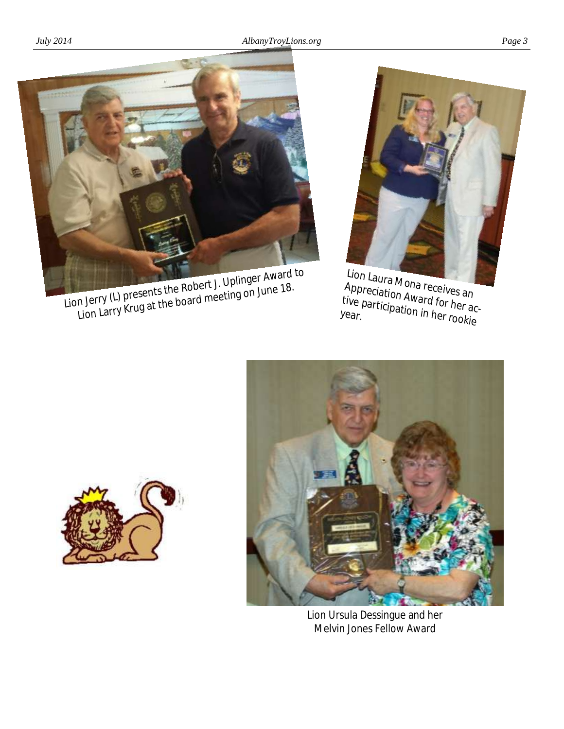

Lion Jerry (L) presents the Robert J. Uplinger Award to<br>Lion Jerry (L) presents the board meeting on June 18. n Jerry (L) presents the Robert J. Opm.<sub>3</sub><br>Lion Larry Krug at the board meeting on June 18.



Lion Laura Mona receives an Appreciation Award for her ac-<br>tive participation in her rockie tive participation in her her ac<br>year.



Lion Ursula Dessingue and her Melvin Jones Fellow Award

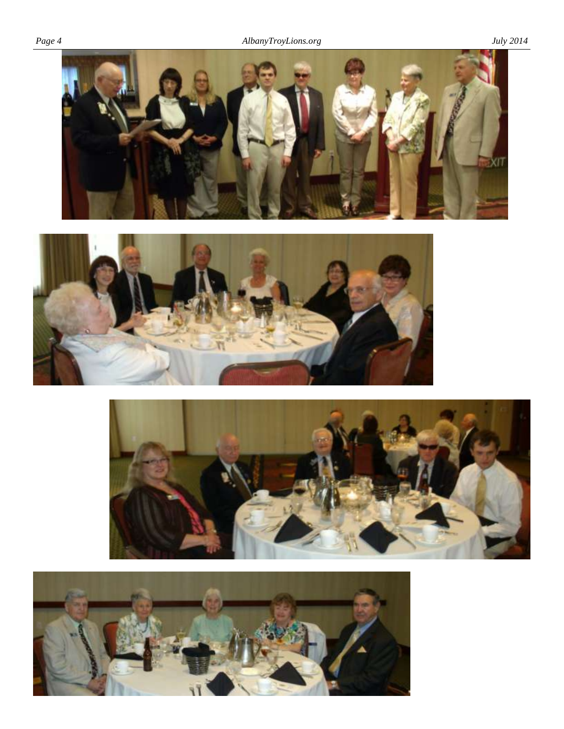





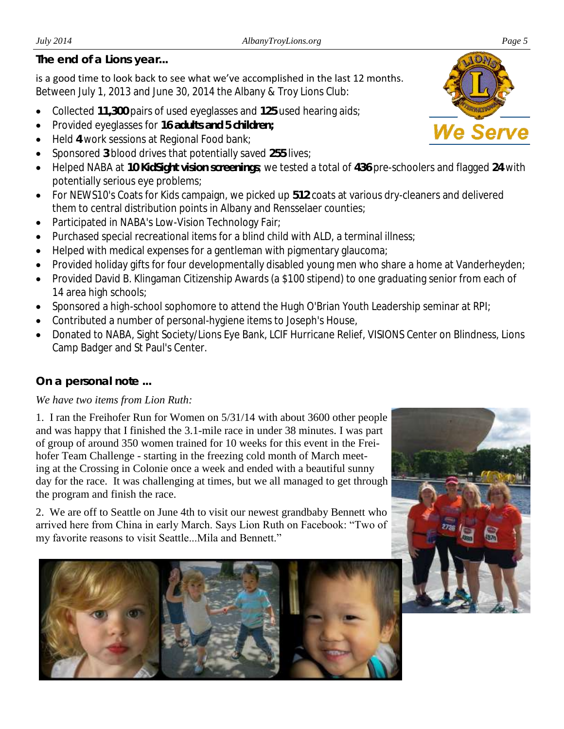is a good time to look back to see what we've accomplished in the last 12 months. Between July 1, 2013 and June 30, 2014 the Albany & Troy Lions Club:

- Collected **11,300** pairs of used eyeglasses and **125** used hearing aids;
- Provided eyeglasses for **16 adults and 5 children***;*
- Held **4** work sessions at Regional Food bank;
- Sponsored **3** blood drives that potentially saved **255** lives;
- Helped NABA at **10 KidSight vision screenings**; we tested a total of **436** pre-schoolers and flagged **24** with potentially serious eye problems;
- For NEWS10's Coats for Kids campaign, we picked up **512** coats at various dry-cleaners and delivered them to central distribution points in Albany and Rensselaer counties;
- Participated in NABA's Low-Vision Technology Fair;
- Purchased special recreational items for a blind child with ALD, a terminal illness;
- Helped with medical expenses for a gentleman with pigmentary glaucoma;
- Provided holiday gifts for four developmentally disabled young men who share a home at Vanderheyden;
- Provided David B. Klingaman Citizenship Awards (a \$100 stipend) to one graduating senior from each of 14 area high schools;
- Sponsored a high-school sophomore to attend the Hugh O'Brian Youth Leadership seminar at RPI;
- Contributed a number of personal-hygiene items to Joseph's House,
- Donated to NABA, Sight Society/Lions Eye Bank, LCIF Hurricane Relief, VISIONS Center on Blindness, Lions Camp Badger and St Paul's Center.

# *On a personal note ...*

## *We have two items from Lion Ruth:*

1. I ran the Freihofer Run for Women on 5/31/14 with about 3600 other people and was happy that I finished the 3.1-mile race in under 38 minutes. I was part of group of around 350 women trained for 10 weeks for this event in the Freihofer Team Challenge - starting in the freezing cold month of March meeting at the Crossing in Colonie once a week and ended with a beautiful sunny day for the race. It was challenging at times, but we all managed to get through the program and finish the race.

2. We are off to Seattle on June 4th to visit our newest grandbaby Bennett who arrived here from China in early March. Says Lion Ruth on Facebook: "Two of my favorite reasons to visit Seattle...Mila and Bennett."